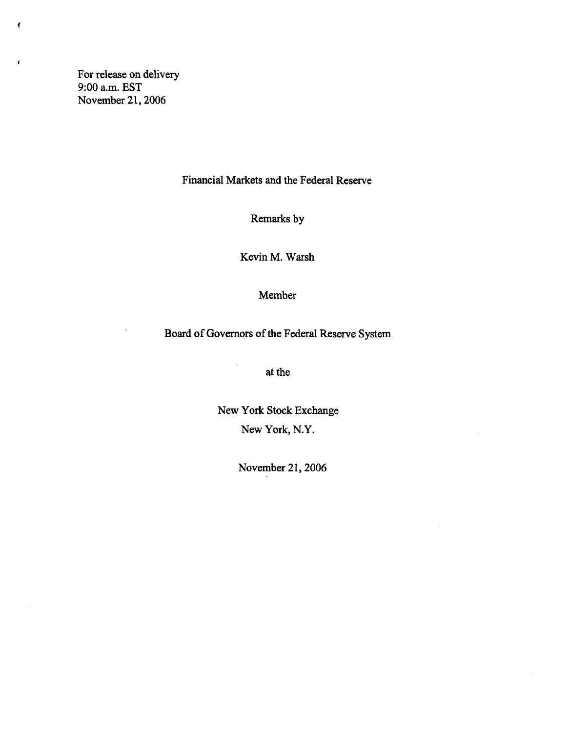For release on delivery 9:00 a.m. EST November 21,2006

 $\pmb{\zeta}$ 

 $\mathbf{r}$ 

 $\bar{z}$ 

Financial Markets and the Federal Reserve

Remarks by

Kevin M. Warsh

Member

Board of Governors of the Federal Reserve System

at the

 $\ddot{\phantom{a}}$ 

New York Stock Exchange New York, N.Y.

November 21,2006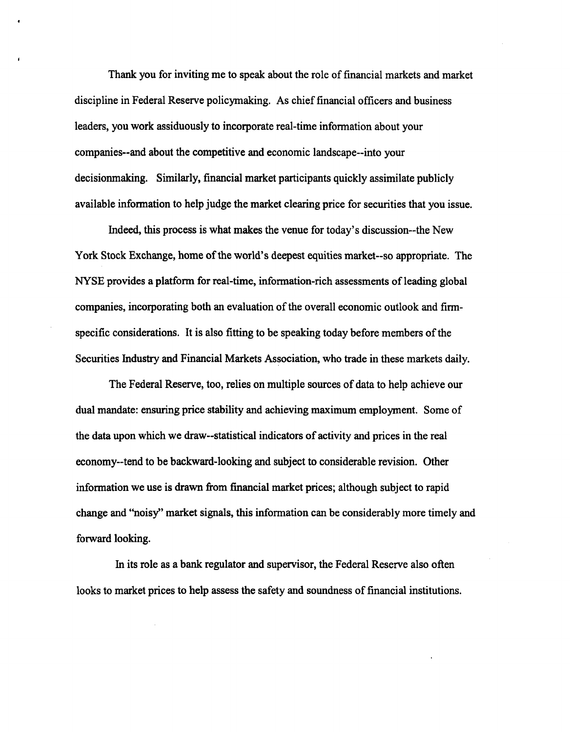Thank you for inviting me to speak about the role of financial markets and market discipline in Federal Reserve policymaking. As chief financial officers and business leaders, you work assiduously to incorporate real-time information about your companies-and about the competitive and economic landscape-into your decisionmaking. Similarly, financial market participants quickly assimilate publicly available information to help judge the market clearing price for securities that you issue.

Indeed, this process is what makes the venue for today's discussion~the New York Stock Exchange, home of the world's deepest equities market-so appropriate. The NYSE provides a platform for real-time, information-rich assessments of leading global companies, incorporating both an evaluation of the overall economic outlook and firmspecific considerations. It is also fitting to be speaking today before members of the Securities Industry and Financial Markets Association, who trade in these markets daily.

The Federal Reserve, too, relies on multiple sources of data to help achieve our dual mandate: ensuring price stability and achieving maximum employment. Some of the data upon which we draw—statistical indicators of activity and prices in the real economy-tend to be backward-looking and subject to considerable revision. Other information we use is drawn from financial market prices; although subject to rapid change and "noisy" market signals, this information can be considerably more timely and forward looking.

In its role as a bank regulator and supervisor, the Federal Reserve also often looks to market prices to help assess the safety and soundness of financial institutions.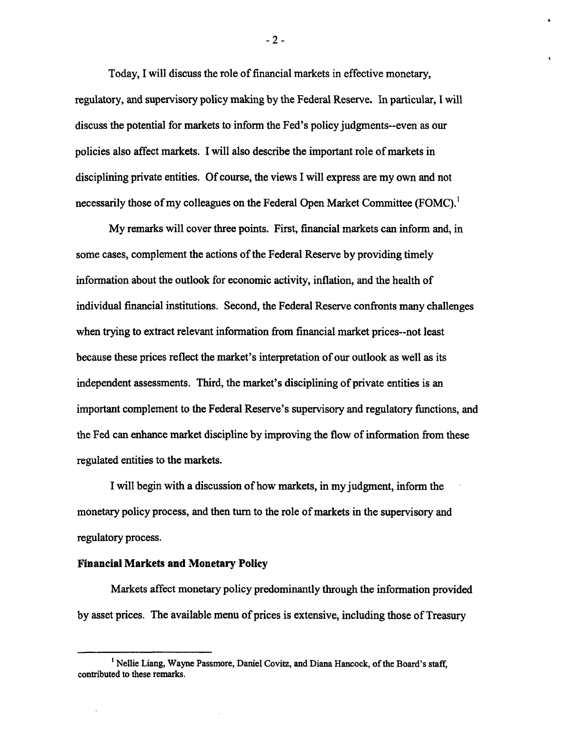Today, I will discuss the role of financial markets in effective monetary, regulatory, and supervisory policy making by the Federal Reserve. In particular, I will discuss the potential for markets to inform the Fed's policy judgments—even as our policies also affect markets. I will also describe the important role of markets in disciplining private entities. Of course, the views I will express are my own and not necessarily those of my colleagues on the Federal Open Market Committee (FOMC).<sup>1</sup>

My remarks will cover three points. First, financial markets can inform and, in some cases, complement the actions of the Federal Reserve by providing timely information about the outlook for economic activity, inflation, and the health of individual financial institutions. Second, the Federal Reserve confronts many challenges when trying to extract relevant information from financial market prices--not least because these prices reflect the market's interpretation of our outlook as well as its independent assessments. Third, the market's disciplining of private entities is an important complement to the Federal Reserve's supervisory and regulatory functions, and the Fed can enhance market discipline by improving the flow of information from these regulated entities to the markets.

I will begin with a discussion of how markets, in my judgment, inform the monetary policy process, and then turn to the role of markets in the supervisory and regulatory process.

## **Financial Markets and Monetary Policy**

Markets affect monetary policy predominantly through the information provided by asset prices. The available menu of prices is extensive, including those of Treasury

 $-2 -$ 

**<sup>1</sup> Nellie Liang, Wayne Passmore, Daniel Covitz, and Diana Hancock, of the Board's staff, contributed to these remarks.**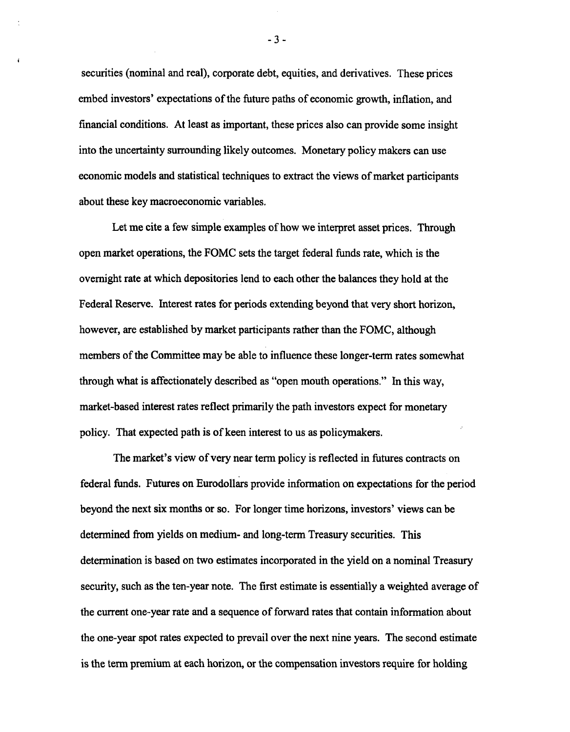securities (nominal and real), corporate debt, equities, and derivatives. These prices embed investors' expectations of the future paths of economic growth, inflation, and financial conditions. At least as important, these prices also can provide some insight into the uncertainty surrounding likely outcomes. Monetary policy makers can use economic models and statistical techniques to extract the views of market participants about these key macroeconomic variables.

Let me cite a few simple examples of how we interpret asset prices. Through open market operations, the FOMC sets the target federal funds rate, which is the overnight rate at which depositories lend to each other the balances they hold at the Federal Reserve. Interest rates for periods extending beyond that very short horizon, however, are established by market participants rather than the FOMC, although members of the Committee may be able to influence these longer-term rates somewhat through what is affectionately described as "open mouth operations." In this way, market-based interest rates reflect primarily the path investors expect for monetary policy. That expected path is of keen interest to us as policymakers.

The market's view of very near term policy is reflected in futures contracts on federal funds. Futures on Eurodollars provide information on expectations for the period beyond the next six months or so. For longer time horizons, investors' views can be determined from yields on medium- and long-term Treasury securities. This determination is based on two estimates incorporated in the yield on a nominal Treasury security, such as the ten-year note. The first estimate is essentially a weighted average of the current one-year rate and a sequence of forward rates that contain information about the one-year spot rates expected to prevail over the next nine years. The second estimate is the term premium at each horizon, or the compensation investors require for holding

- 3 -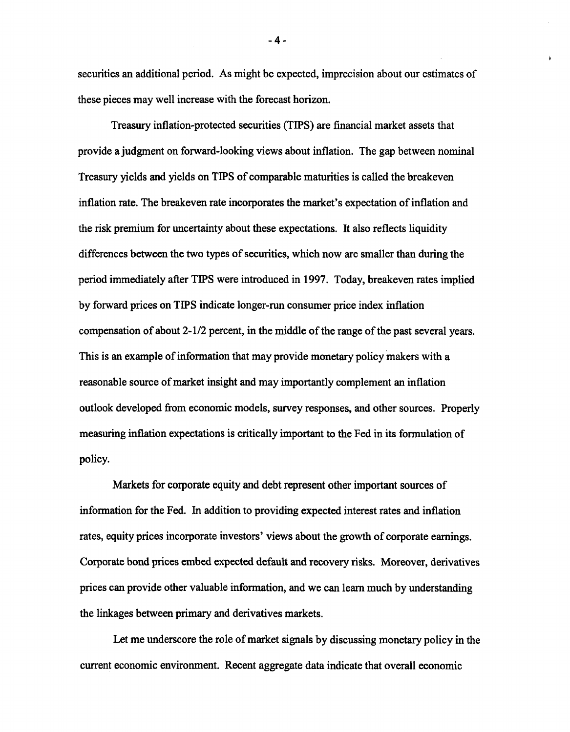securities an additional period. As might be expected, imprecision about our estimates of these pieces may well increase with the forecast horizon.

Treasury inflation-protected securities (TIPS) are financial market assets that provide a judgment on forward-looking views about inflation. The gap between nominal Treasury yields and yields on TIPS of comparable maturities is called the breakeven inflation rate. The breakeven rate incorporates the market's expectation of inflation and the risk premium for uncertainty about these expectations. It also reflectsliquidity differences between the two types of securities, which now are smaller than during the period immediately after TIPS were introduced in 1997. Today, breakeven rates implied by forward prices on TIPS indicate longer-run consumer price index inflation compensation of about 2-1/2 percent, in the middle of the range of the past several years. This is an example of information that may provide monetary policy makers with a reasonable source of market insight and may importantly complement an inflation outlook developed from economic models, survey responses, and other sources. Properly measuring inflation expectations is critically important to the Fed in its formulation of policy.

Markets for corporate equity and debt represent other important sources of information for the Fed. In addition to providing expected interest rates and inflation rates, equity prices incorporate investors' views about the growth of corporate earnings. Corporate bond prices embed expected default and recovery risks. Moreover, derivatives prices can provide other valuable information, and we can learn much by understanding the linkages between primary and derivatives markets.

Let me underscore the role of market signals by discussing monetary policy in the current economic environment. Recent aggregate data indicate that overall economic

- 4 -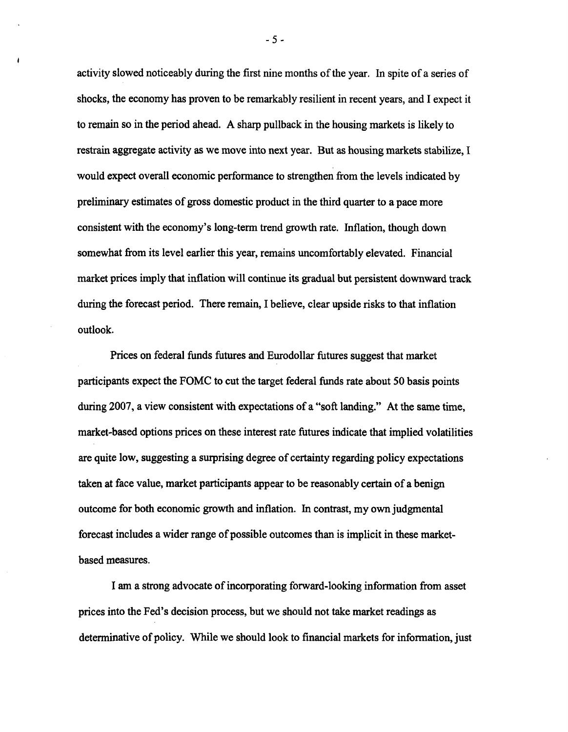activity slowed noticeably during the first nine months of the year. In spite of a series of shocks, the economy has proven to be remarkably resilient in recent years, and I expect it to remain so in the period ahead. A sharp pullback in the housing markets is likely to restrain aggregate activity as we move into next year. But as housing markets stabilize, I would expect overall economic performance to strengthen from the levels indicated by preliminary estimates of gross domestic product in the third quarter to a pace more consistent with the economy's long-term trend growth rate. Inflation, though down somewhat from its level earlier this year, remains uncomfortably elevated. Financial market prices imply that inflation will continue its gradual but persistent downward track during the forecast period. There remain, I believe, clear upside risks to that inflation outlook.

Prices on federal funds futures and Eurodollar futures suggest that market participants expect the FOMC to cut the target federal funds rate about 50 basis points during 2007, a view consistent with expectations of a "soft landing." At the same time, market-based options prices on these interest rate futures indicate that implied volatilities are quite low, suggesting a surprising degree of certainty regarding policy expectations taken at face value, market participants appear to be reasonably certain of a benign outcome for both economic growth and inflation. In contrast, my own judgmental forecast includes a wider range of possible outcomes than is implicit in these marketbased measures.

I am a strong advocate of incorporating forward-looking information from asset prices into the Fed's decision process, but we should not take market readings as determinative of policy. While we should look to financial markets for information, just

-5 -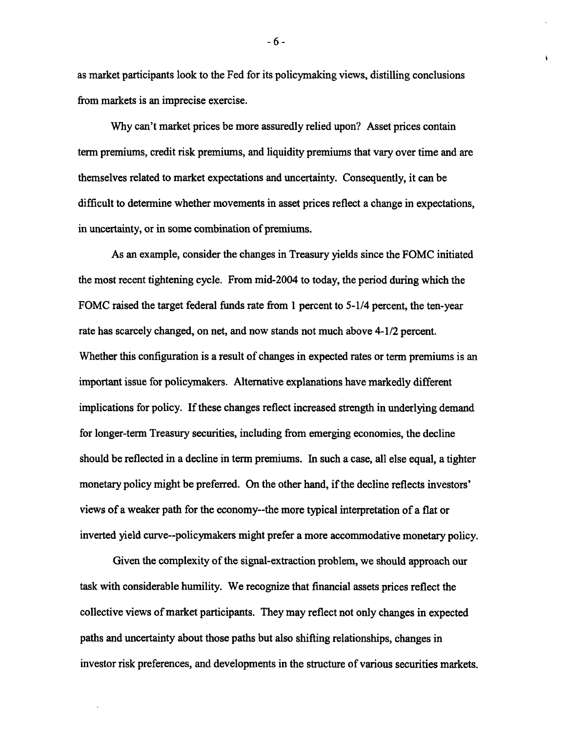as market participants look to the Fed for its policymaking views, distilling conclusions from markets is an imprecise exercise.

Why can't market prices be more assuredly relied upon? Asset prices contain term premiums, credit risk premiums, and liquidity premiums that vary over time and are themselves related to market expectations and uncertainty. Consequently, it can be difficult to determine whether movements in asset prices reflect a change in expectations, in uncertainty, or in some combination of premiums.

As an example, consider the changes in Treasury yields since the FOMC initiated the most recent tightening cycle. From mid-2004 to today, the period during which the FOMC raised the target federal funds rate from 1 percent to 5-1/4 percent, the ten-year rate has scarcely changed, on net, and now stands not much above 4-1/2 percent. Whether this configuration is a result of changes in expected rates or term premiums is an important issue for policymakers. Alternative explanations have markedly different implications for policy. If these changes reflect increased strength in underlying demand for longer-term Treasury securities, including from emerging economies, the decline should be reflected in a decline in term premiums. In such a case, all else equal, a tighter monetary policy might be preferred. On the other hand, if the decline reflects investors' views of a weaker path for the economy—the more typical interpretation of a flat or inverted yield curve—policymakers might prefer a more accommodative monetary policy.

Given the complexity of the signal-extraction problem, we should approach our task with considerable humility. We recognize that financial assets prices reflect the collective views of market participants. They may reflect not only changes in expected paths and uncertainty about those paths but also shifting relationships, changes in investor risk preferences, and developments in the structure of various securities markets.

- 6 -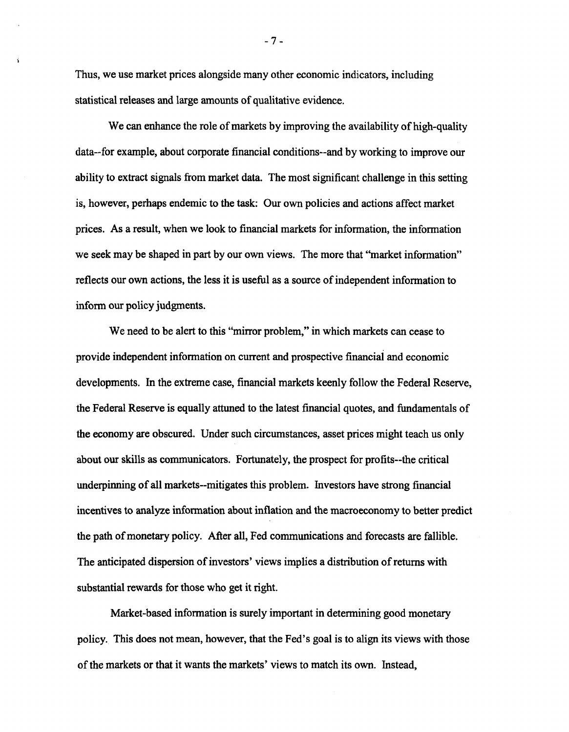Thus, we use market prices alongside many other economic indicators, including statistical releases and large amounts of qualitative evidence.

Ń

We can enhance the role of markets by improving the availability of high-quality data-for example, about corporate financial conditions-and by working to improve our ability to extract signals from market data. The most significant challenge in this setting is, however, perhaps endemic to the task: Our own policies and actions affect market prices. As a result, when we look to financial markets for information, the information we seek may be shaped in part by our own views. The more that "market information" reflects our own actions, the less it is useful as a source of independent information to inform our policy judgments.

We need to be alert to this "mirror problem," in which markets can cease to provide independent information on current and prospective financial and economic developments. In the extreme case, financial markets keenly follow the Federal Reserve, the Federal Reserve is equally attuned to the latest financial quotes, and fundamentals of the economy are obscured. Under such circumstances, asset prices might teach us only about our skills as communicators. Fortunately, the prospect for profits—the critical underpinning of all markets—mitigates this problem. Investors have strong financial incentives to analyze information about inflation and the macroeconomy to better predict the path of monetary policy. After all, Fed communications and forecasts are fallible. The anticipated dispersion of investors' views implies a distribution of returns with substantial rewards for those who get it right.

Market-based information is surely important in determining good monetary policy. This does not mean, however, that the Fed's goal is to align its views with those of the markets or that it wants the markets' views to match its own. Instead,

- 7 -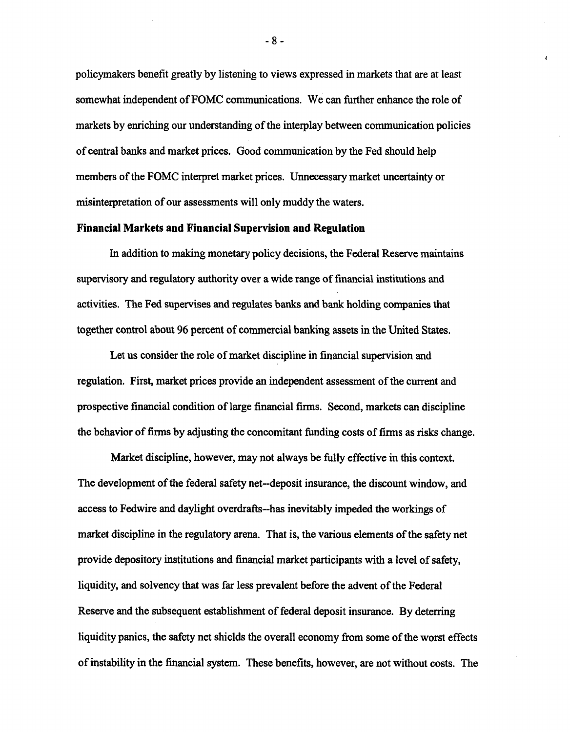policymakers benefit greatly by listening to views expressed in markets that are at least somewhat independent of FOMC communications. We can further enhance the role of markets by enriching our understanding of the interplay between communication policies of central banks and market prices. Good communication by the Fed should help members of the FOMC interpret market prices. Unnecessary market uncertainty or misinterpretation of our assessments will only muddy the waters.

## **Financial Markets and Financial Supervision and Regulation**

In addition to making monetary policy decisions, the Federal Reserve maintains supervisory and regulatory authority over a wide range of financial institutions and activities. The Fed supervises and regulates banks and bank holding companies that together control about 96 percent of commercial banking assets in the United States.

Let us consider the role of market discipline in financial supervision and regulation. First, market prices provide an independent assessment of the current and prospective financial condition of large financial firms. Second, markets can discipline the behavior of firms by adjusting the concomitant funding costs of firms as risks change.

Market discipline, however, may not always be fully effective in this context. The development of the federal safety net-deposit insurance, the discount window, and access to Fedwire and daylight overdrafts—has inevitably impeded the workings of market discipline in the regulatory arena. That is, the various elements of the safety net provide depository institutions and financial market participants with a level of safety, liquidity, and solvency that was far less prevalent before the advent of the Federal Reserve and the subsequent establishment of federal deposit insurance. By deterring liquidity panics, the safety net shields the overall economy from some of the worst effects of instability in the financial system. These benefits, however, are not without costs. The

- 8 -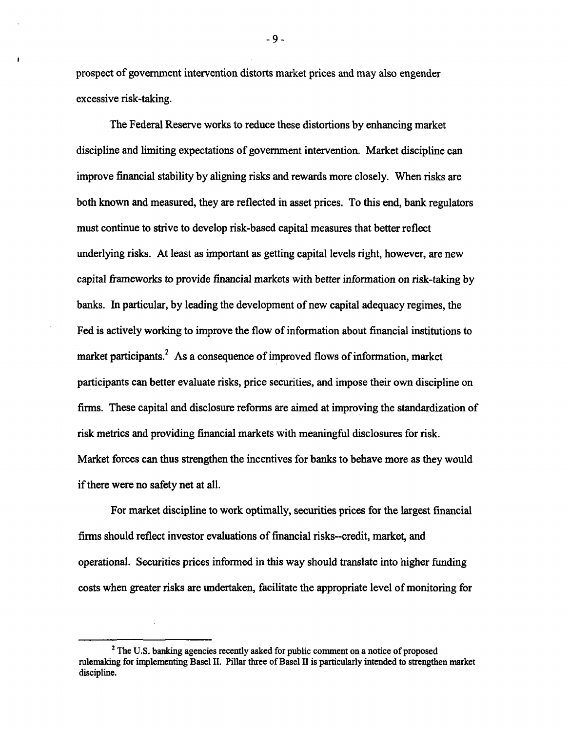prospect of government intervention distorts market prices and may also engender excessive risk-taking.

The Federal Reserve works to reduce these distortions by enhancing market discipline and limiting expectations of government intervention. Market discipline can improve financial stability by aligning risks and rewards more closely. When risks are both known and measured, they are reflected in asset prices. To this end, bank regulators must continue to strive to develop risk-based capital measures that better reflect underlying risks. At least as important as getting capital levels right, however, are new capital frameworks to provide financial markets with better information on risk-taking by banks. In particular, by leading the development of new capital adequacy regimes, the Fed is actively working to improve the flow of information about financial institutions to market participants.<sup>2</sup> As a consequence of improved flows of information, market participants can better evaluate risks, price securities, and impose their own discipline on firms. These capital and disclosure reforms are aimed at improving the standardization of risk metrics and providing financial markets with meaningful disclosures for risk. Market forces can thus strengthen the incentives for banks to behave more as they would if there were no safety net at all.

For market discipline to work optimally, securities prices for the largest financial firms should reflect investor evaluations of financial risks-credit, market, and operational. Securities prices informed in this way should translate into higher funding costs when greater risks are undertaken, facilitate the appropriate level of monitoring for

- 9 -

**<sup>2</sup> The U.S. banking agencies recently asked for public comment on a notice of proposed rulemaking for implementing Basel II. Pillar three of Basel II is particularly intended to strengthen market discipline.**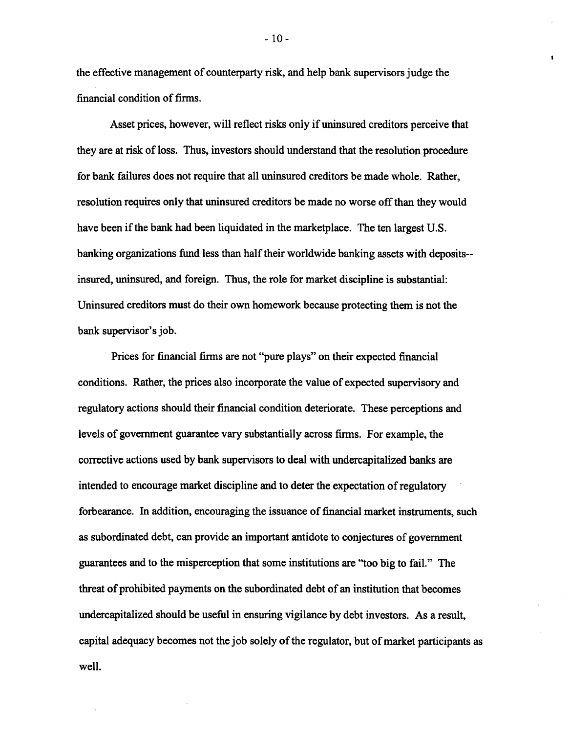the effective management of counterparty risk, and help bank supervisors judge the financial condition of firms.

Asset prices, however, will reflect risks only if uninsured creditors perceive that they are at risk of loss. Thus, investors should understand that the resolution procedure for bank failures does not require that all uninsured creditors be made whole. Rather, resolution requires only that uninsured creditors be made no worse off than they would have been if the bank had been liquidated in the marketplace. The ten largest U.S. banking organizations fund less than half their worldwide banking assets with depositsinsured, uninsured, and foreign. Thus, the role for market discipline is substantial: Uninsured creditors must do their own homework because protecting them is not the bank supervisor's job.

Prices for financial firms are not "pure plays" on their expected financial conditions. Rather, the prices also incorporate the value of expected supervisory and regulatory actions should their financial condition deteriorate. These perceptions and levels of government guarantee vary substantially across firms. For example, the corrective actions used by bank supervisors to deal with undercapitalized banks are intended to encourage market discipline and to deter the expectation of regulatory forbearance. In addition, encouraging the issuance of financial market instruments, such as subordinated debt, can provide an important antidote to conjectures of government guarantees and to the misperception that some institutions are "too big to fail." The threat of prohibited payments on the subordinated debt of an institution that becomes undercapitalized should be useful in ensuring vigilance by debt investors. As a result, capital adequacy becomes not the job solely of the regulator, but of market participants as well.

-10 -

 $\mathbf{r}$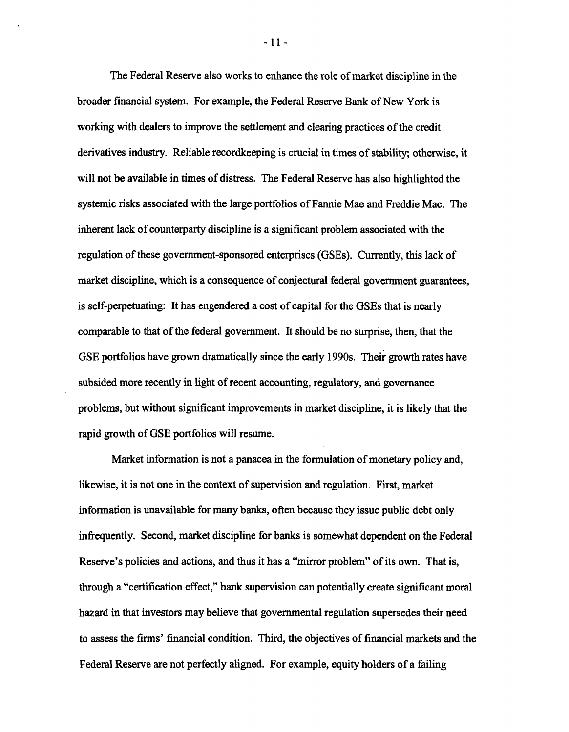The Federal Reserve also works to enhance the role of market discipline in the broader financial system. For example, the Federal Reserve Bank of New York is working with dealers to improve the settlement and clearing practices of the credit derivatives industry. Reliable recordkeeping is crucial in times of stability; otherwise, it will not be available in times of distress. The Federal Reserve has also highlighted the systemic risks associated with the large portfolios of Fannie Mae and Freddie Mac. The inherent lack of counterparty discipline is a significant problem associated with the regulation of these government-sponsored enterprises (GSEs). Currently, this lack of market discipline, which is a consequence of conjectural federal government guarantees, is self-perpetuating: It has engendered a cost of capital for the GSEs that is nearly comparable to that of the federal government. It should be no surprise, then, that the GSE portfolios have grown dramatically since the early 1990s. Their growth rates have subsided more recently in light of recent accounting, regulatory, and governance problems, but without significant improvements in market discipline, it is likely that the rapid growth of GSE portfolios will resume.

Market information is not a panacea in the formulation of monetary policy and, likewise, it is not one in the context of supervision and regulation. First, market information is unavailable for many banks, often because they issue public debt only infrequently. Second, market discipline for banks is somewhat dependent on the Federal Reserve's policies and actions, and thus it has a "mirror problem" of its own. That is, through a "certification effect," bank supervision can potentially create significant moral hazard in that investors may believe that governmental regulation supersedes their need to assess the firms' financial condition. Third, the objectives of financial markets and the Federal Reserve are not perfectly aligned. For example, equity holders of a failing